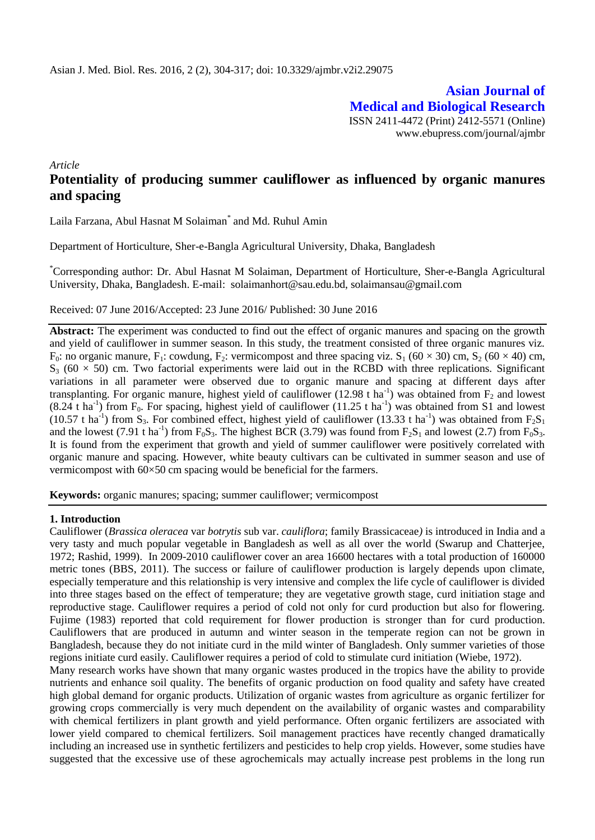**Asian Journal of Medical and Biological Research** ISSN 2411-4472 (Print) 2412-5571 (Online) www.ebupress.com/journal/ajmbr

*Article*

# **Potentiality of producing summer cauliflower as influenced by organic manures and spacing**

Laila Farzana, Abul Hasnat M Solaiman<sup>\*</sup> and Md. Ruhul Amin

Department of Horticulture, Sher-e-Bangla Agricultural University, Dhaka, Bangladesh

\*Corresponding author: Dr. Abul Hasnat M Solaiman, Department of Horticulture, Sher-e-Bangla Agricultural University, Dhaka, Bangladesh. E-mail: solaimanhort@sau.edu.bd, [solaimansau@gmail.com](mailto:solaimansau@gmail.com)

Received: 07 June 2016/Accepted: 23 June 2016/ Published: 30 June 2016

**Abstract:** The experiment was conducted to find out the effect of organic manures and spacing on the growth and yield of cauliflower in summer season. In this study, the treatment consisted of three organic manures viz.  $F_0$ : no organic manure,  $F_1$ : cowdung,  $F_2$ : vermicompost and three spacing viz.  $S_1$  (60 × 30) cm,  $S_2$  (60 × 40) cm,  $S_3$  (60  $\times$  50) cm. Two factorial experiments were laid out in the RCBD with three replications. Significant variations in all parameter were observed due to organic manure and spacing at different days after transplanting. For organic manure, highest yield of cauliflower (12.98 t ha<sup>-1</sup>) was obtained from  $F_2$  and lowest  $(8.24 \text{ t} \text{ ha}^{-1})$  from F<sub>0</sub>. For spacing, highest yield of cauliflower  $(11.25 \text{ t} \text{ ha}^{-1})$  was obtained from S1 and lowest (10.57 t ha<sup>-1</sup>) from S<sub>3</sub>. For combined effect, highest yield of cauliflower (13.33 t ha<sup>-1</sup>) was obtained from  $F_2S_1$ and the lowest (7.91 t ha<sup>-1</sup>) from  $F_0S_3$ . The highest BCR (3.79) was found from  $F_2S_1$  and lowest (2.7) from  $F_0S_3$ . It is found from the experiment that growth and yield of summer cauliflower were positively correlated with organic manure and spacing. However, white beauty cultivars can be cultivated in summer season and use of vermicompost with 60×50 cm spacing would be beneficial for the farmers.

**Keywords:** organic manures; spacing; summer cauliflower; vermicompost

### **1. Introduction**

Cauliflower (*Brassica oleracea* var *botrytis* sub var. *cauliflora*; family Brassicaceae*)* is introduced in India and a very tasty and much popular vegetable in Bangladesh as well as all over the world (Swarup and Chatterjee, 1972; Rashid, 1999). In 2009-2010 cauliflower cover an area 16600 hectares with a total production of 160000 metric tones (BBS, 2011). The success or failure of cauliflower production is largely depends upon climate, especially temperature and this relationship is very intensive and complex the life cycle of cauliflower is divided into three stages based on the effect of temperature; they are vegetative growth stage, curd initiation stage and reproductive stage. Cauliflower requires a period of cold not only for curd production but also for flowering. Fujime (1983) reported that cold requirement for flower production is stronger than for curd production. Cauliflowers that are produced in autumn and winter season in the temperate region can not be grown in Bangladesh, because they do not initiate curd in the mild winter of Bangladesh. Only summer varieties of those regions initiate curd easily. Cauliflower requires a period of cold to stimulate curd initiation (Wiebe, 1972).

Many research works have shown that many organic wastes produced in the tropics have the ability to provide nutrients and enhance soil quality. The benefits of organic production on food quality and safety have created high global demand for organic products. Utilization of organic wastes from agriculture as organic fertilizer for growing crops commercially is very much dependent on the availability of organic wastes and comparability with chemical fertilizers in plant growth and yield performance. Often organic fertilizers are associated with lower yield compared to chemical fertilizers. Soil management practices have recently changed dramatically including an increased use in synthetic fertilizers and pesticides to help crop yields. However, some studies have suggested that the excessive use of these agrochemicals may actually increase pest problems in the long run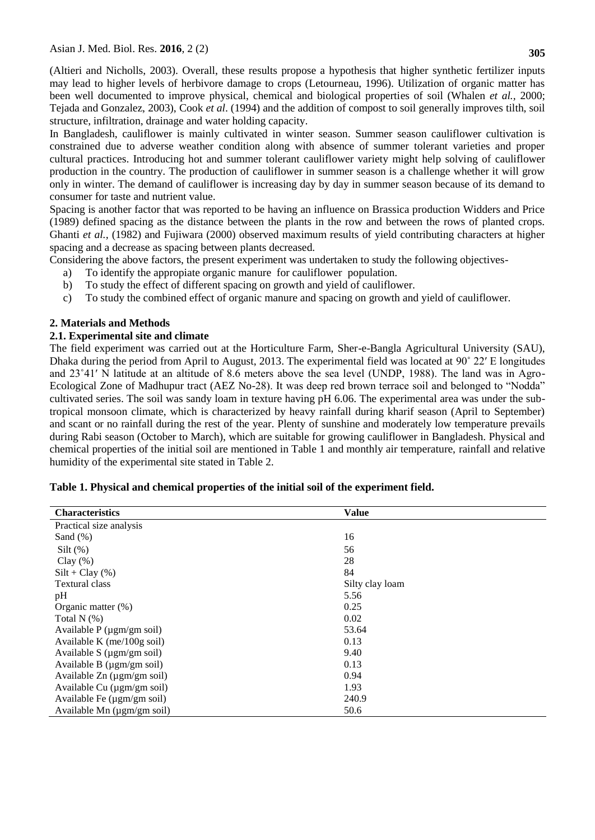(Altieri and Nicholls, 2003). Overall, these results propose a hypothesis that higher synthetic fertilizer inputs may lead to higher levels of herbivore damage to crops (Letourneau, 1996). Utilization of organic matter has been well documented to improve physical, chemical and biological properties of soil (Whalen *et al.,* 2000; Tejada and Gonzalez, 2003), Cook *et al*. (1994) and the addition of compost to soil generally improves tilth, soil structure, infiltration, drainage and water holding capacity.

In Bangladesh, cauliflower is mainly cultivated in winter season. Summer season cauliflower cultivation is constrained due to adverse weather condition along with absence of summer tolerant varieties and proper cultural practices. Introducing hot and summer tolerant cauliflower variety might help solving of cauliflower production in the country. The production of cauliflower in summer season is a challenge whether it will grow only in winter. The demand of cauliflower is increasing day by day in summer season because of its demand to consumer for taste and nutrient value.

Spacing is another factor that was reported to be having an influence on Brassica production Widders and Price (1989) defined spacing as the distance between the plants in the row and between the rows of planted crops. Ghanti *et al.*, (1982) and Fujiwara (2000) observed maximum results of yield contributing characters at higher spacing and a decrease as spacing between plants decreased.

Considering the above factors, the present experiment was undertaken to study the following objectives-

- a) To identify the appropiate organic manure for cauliflower population.
- b) To study the effect of different spacing on growth and yield of cauliflower.
- c) To study the combined effect of organic manure and spacing on growth and yield of cauliflower.

## **2. Materials and Methods**

### **2.1. Experimental site and climate**

The field experiment was carried out at the Horticulture Farm, Sher-e-Bangla Agricultural University (SAU), Dhaka during the period from April to August, 2013. The experimental field was located at 90˚ 22′ E longitudes and 23˚41′ N latitude at an altitude of 8.6 meters above the sea level (UNDP, 1988). The land was in Agro-Ecological Zone of Madhupur tract (AEZ No-28). It was deep red brown terrace soil and belonged to "Nodda" cultivated series. The soil was sandy loam in texture having pH 6.06. The experimental area was under the subtropical monsoon climate, which is characterized by heavy rainfall during kharif season (April to September) and scant or no rainfall during the rest of the year. Plenty of sunshine and moderately low temperature prevails during Rabi season (October to March), which are suitable for growing cauliflower in Bangladesh. Physical and chemical properties of the initial soil are mentioned in Table 1 and monthly air temperature, rainfall and relative humidity of the experimental site stated in Table 2.

| <b>Characteristics</b>             | <b>Value</b>    |
|------------------------------------|-----------------|
| Practical size analysis            |                 |
| Sand $(\%)$                        | 16              |
| Silt $(\%)$                        | 56              |
| Clay $(\%)$                        | 28              |
| $Silt + Clay(\%)$                  | 84              |
| <b>Textural class</b>              | Silty clay loam |
| pH                                 | 5.56            |
| Organic matter $(\%)$              | 0.25            |
| Total N $(%)$                      | 0.02            |
| Available $P$ ( $\mu$ gm/gm soil)  | 53.64           |
| Available K ( $me/100g$ soil)      | 0.13            |
| Available $S$ ( $\mu$ gm/gm soil)  | 9.40            |
| Available B $(\mu g m/gm)$ soil)   | 0.13            |
| Available $Zn$ ( $\mu$ gm/gm soil) | 0.94            |
| Available Cu (µgm/gm soil)         | 1.93            |
| Available Fe (µgm/gm soil)         | 240.9           |
| Available Mn (µgm/gm soil)         | 50.6            |

|  |  | Table 1. Physical and chemical properties of the initial soil of the experiment field. |
|--|--|----------------------------------------------------------------------------------------|
|--|--|----------------------------------------------------------------------------------------|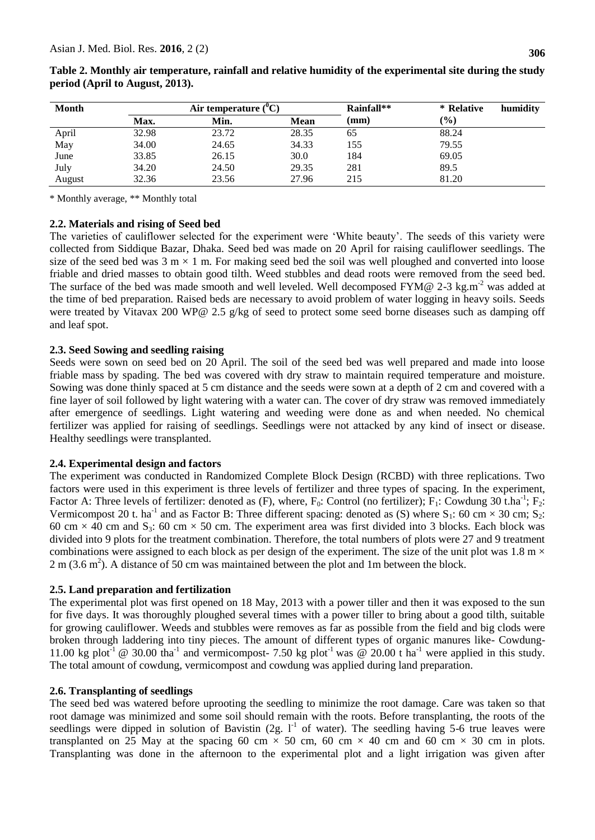| <b>Month</b> |             | Air temperature $(^0C)$ |       | Rainfall** | * Relative    | humidity |
|--------------|-------------|-------------------------|-------|------------|---------------|----------|
|              | <b>Max.</b> | Min.                    | Mean  | (mm)       | $\frac{1}{2}$ |          |
| April        | 32.98       | 23.72                   | 28.35 | 65         | 88.24         |          |
| May          | 34.00       | 24.65                   | 34.33 | 155        | 79.55         |          |
| June         | 33.85       | 26.15                   | 30.0  | 184        | 69.05         |          |
| July         | 34.20       | 24.50                   | 29.35 | 281        | 89.5          |          |
| August       | 32.36       | 23.56                   | 27.96 | 215        | 81.20         |          |

| Table 2. Monthly air temperature, rainfall and relative humidity of the experimental site during the study |  |
|------------------------------------------------------------------------------------------------------------|--|
| period (April to August, 2013).                                                                            |  |

\* Monthly average, \*\* Monthly total

### **2.2. Materials and rising of Seed bed**

The varieties of cauliflower selected for the experiment were "White beauty". The seeds of this variety were collected from Siddique Bazar, Dhaka. Seed bed was made on 20 April for raising cauliflower seedlings. The size of the seed bed was  $3 \text{ m} \times 1 \text{ m}$ . For making seed bed the soil was well ploughed and converted into loose friable and dried masses to obtain good tilth. Weed stubbles and dead roots were removed from the seed bed. The surface of the bed was made smooth and well leveled. Well decomposed FYM@ 2-3 kg.m<sup>-2</sup> was added at the time of bed preparation. Raised beds are necessary to avoid problem of water logging in heavy soils. Seeds were treated by Vitavax 200 WP@ 2.5 g/kg of seed to protect some seed borne diseases such as damping off and leaf spot.

#### **2.3. Seed Sowing and seedling raising**

Seeds were sown on seed bed on 20 April. The soil of the seed bed was well prepared and made into loose friable mass by spading. The bed was covered with dry straw to maintain required temperature and moisture. Sowing was done thinly spaced at 5 cm distance and the seeds were sown at a depth of 2 cm and covered with a fine layer of soil followed by light watering with a water can. The cover of dry straw was removed immediately after emergence of seedlings. Light watering and weeding were done as and when needed. No chemical fertilizer was applied for raising of seedlings. Seedlings were not attacked by any kind of insect or disease. Healthy seedlings were transplanted.

### **2.4. Experimental design and factors**

The experiment was conducted in Randomized Complete Block Design (RCBD) with three replications. Two factors were used in this experiment is three levels of fertilizer and three types of spacing. In the experiment, Factor A: Three levels of fertilizer: denoted as (F), where,  $F_0$ : Control (no fertilizer);  $F_1$ : Cowdung 30 t.ha<sup>-1</sup>;  $F_2$ : Vermicompost 20 t. ha<sup>-1</sup> and as Factor B: Three different spacing: denoted as (S) where  $S_1$ : 60 cm  $\times$  30 cm;  $S_2$ : 60 cm  $\times$  40 cm and S<sub>3</sub>: 60 cm  $\times$  50 cm. The experiment area was first divided into 3 blocks. Each block was divided into 9 plots for the treatment combination. Therefore, the total numbers of plots were 27 and 9 treatment combinations were assigned to each block as per design of the experiment. The size of the unit plot was  $1.8 \text{ m} \times$  $2 \text{ m } (3.6 \text{ m}^2)$ . A distance of 50 cm was maintained between the plot and 1m between the block.

### **2.5. Land preparation and fertilization**

The experimental plot was first opened on 18 May, 2013 with a power tiller and then it was exposed to the sun for five days. It was thoroughly ploughed several times with a power tiller to bring about a good tilth, suitable for growing cauliflower. Weeds and stubbles were removes as far as possible from the field and big clods were broken through laddering into tiny pieces. The amount of different types of organic manures like- Cowdung-11.00 kg plot<sup>-1</sup> @ 30.00 tha<sup>-1</sup> and vermicompost- 7.50 kg plot<sup>-1</sup> was @ 20.00 t ha<sup>-1</sup> were applied in this study. The total amount of cowdung, vermicompost and cowdung was applied during land preparation.

### **2.6. Transplanting of seedlings**

The seed bed was watered before uprooting the seedling to minimize the root damage. Care was taken so that root damage was minimized and some soil should remain with the roots. Before transplanting, the roots of the seedlings were dipped in solution of Bavistin  $(2g. 1<sup>-1</sup>$  of water). The seedling having 5-6 true leaves were transplanted on 25 May at the spacing 60 cm  $\times$  50 cm, 60 cm  $\times$  40 cm and 60 cm  $\times$  30 cm in plots. Transplanting was done in the afternoon to the experimental plot and a light irrigation was given after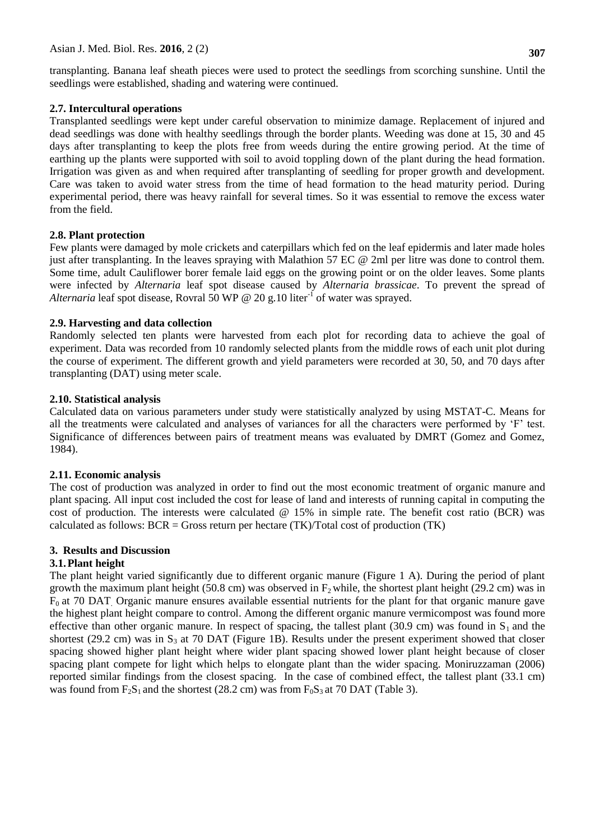transplanting. Banana leaf sheath pieces were used to protect the seedlings from scorching sunshine. Until the seedlings were established, shading and watering were continued.

#### **2.7. Intercultural operations**

Transplanted seedlings were kept under careful observation to minimize damage. Replacement of injured and dead seedlings was done with healthy seedlings through the border plants. Weeding was done at 15, 30 and 45 days after transplanting to keep the plots free from weeds during the entire growing period. At the time of earthing up the plants were supported with soil to avoid toppling down of the plant during the head formation. Irrigation was given as and when required after transplanting of seedling for proper growth and development. Care was taken to avoid water stress from the time of head formation to the head maturity period. During experimental period, there was heavy rainfall for several times. So it was essential to remove the excess water from the field.

### **2.8. Plant protection**

Few plants were damaged by mole crickets and caterpillars which fed on the leaf epidermis and later made holes just after transplanting. In the leaves spraying with Malathion 57 EC @ 2ml per litre was done to control them. Some time, adult Cauliflower borer female laid eggs on the growing point or on the older leaves. Some plants were infected by *Alternaria* leaf spot disease caused by *Alternaria brassicae*. To prevent the spread of Alternaria leaf spot disease, Rovral 50 WP @ 20 g.10 liter<sup>-I</sup> of water was sprayed.

#### **2.9. Harvesting and data collection**

Randomly selected ten plants were harvested from each plot for recording data to achieve the goal of experiment. Data was recorded from 10 randomly selected plants from the middle rows of each unit plot during the course of experiment. The different growth and yield parameters were recorded at 30, 50, and 70 days after transplanting (DAT) using meter scale.

#### **2.10. Statistical analysis**

Calculated data on various parameters under study were statistically analyzed by using MSTAT-C. Means for all the treatments were calculated and analyses of variances for all the characters were performed by "F" test. Significance of differences between pairs of treatment means was evaluated by DMRT (Gomez and Gomez, 1984).

#### **2.11. Economic analysis**

The cost of production was analyzed in order to find out the most economic treatment of organic manure and plant spacing. All input cost included the cost for lease of land and interests of running capital in computing the cost of production. The interests were calculated @ 15% in simple rate. The benefit cost ratio (BCR) was calculated as follows:  $BCR = Gross$  return per hectare  $(TK)/Total \cos t$  of production  $(TK)$ 

#### **3. Results and Discussion**

### **3.1.Plant height**

The plant height varied significantly due to different organic manure (Figure 1 A). During the period of plant growth the maximum plant height (50.8 cm) was observed in  $F_2$  while, the shortest plant height (29.2 cm) was in  $F<sub>0</sub>$  at 70 DAT. Organic manure ensures available essential nutrients for the plant for that organic manure gave the highest plant height compare to control. Among the different organic manure vermicompost was found more effective than other organic manure. In respect of spacing, the tallest plant (30.9 cm) was found in  $S_1$  and the shortest (29.2 cm) was in  $S_3$  at 70 DAT (Figure 1B). Results under the present experiment showed that closer spacing showed higher plant height where wider plant spacing showed lower plant height because of closer spacing plant compete for light which helps to elongate plant than the wider spacing. Moniruzzaman (2006) reported similar findings from the closest spacing. In the case of combined effect, the tallest plant (33.1 cm) was found from  $F_2S_1$  and the shortest (28.2 cm) was from  $F_0S_3$  at 70 DAT (Table 3).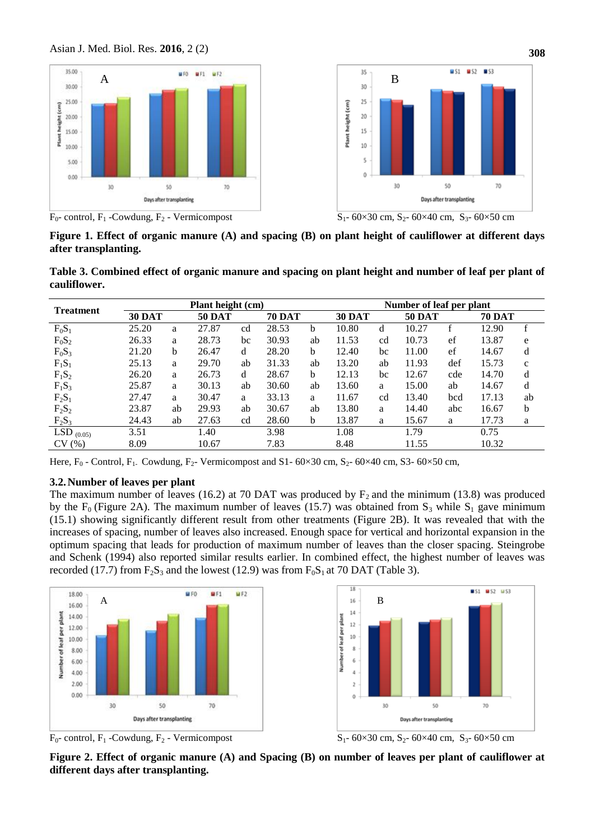





**Figure 1. Effect of organic manure (A) and spacing (B) on plant height of cauliflower at different days after transplanting.** 

**Table 3. Combined effect of organic manure and spacing on plant height and number of leaf per plant of cauliflower.**

| <b>Treatment</b> | Plant height (cm) |              |               |    |       |               |       | Number of leaf per plant |       |               |       |               |  |
|------------------|-------------------|--------------|---------------|----|-------|---------------|-------|--------------------------|-------|---------------|-------|---------------|--|
|                  | <b>30 DAT</b>     |              | <b>50 DAT</b> |    |       | <b>70 DAT</b> |       | <b>30 DAT</b>            |       | <b>50 DAT</b> |       | <b>70 DAT</b> |  |
| $F_0S_1$         | 25.20             | a            | 27.87         | cd | 28.53 | b             | 10.80 | d                        | 10.27 | f             | 12.90 | f             |  |
| $F_0S_2$         | 26.33             | a            | 28.73         | bc | 30.93 | ab            | 11.53 | cd                       | 10.73 | ef            | 13.87 | e             |  |
| $F_0S_3$         | 21.20             | <sub>b</sub> | 26.47         | d  | 28.20 | <sub>b</sub>  | 12.40 | bc                       | 11.00 | ef            | 14.67 | d             |  |
| $F_1S_1$         | 25.13             | a            | 29.70         | ab | 31.33 | ab            | 13.20 | ab                       | 11.93 | def           | 15.73 | $\mathbf{C}$  |  |
| $F_1S_2$         | 26.20             | a            | 26.73         | d  | 28.67 | b             | 12.13 | bc                       | 12.67 | cde           | 14.70 | d             |  |
| $F_1S_3$         | 25.87             | a            | 30.13         | ab | 30.60 | ab            | 13.60 | a                        | 15.00 | ab            | 14.67 | d             |  |
| $F_2S_1$         | 27.47             | a            | 30.47         | a  | 33.13 | a             | 11.67 | cd                       | 13.40 | bcd           | 17.13 | ab            |  |
| $F_2S_2$         | 23.87             | ab           | 29.93         | ab | 30.67 | ab            | 13.80 | a                        | 14.40 | abc           | 16.67 | b             |  |
| $F_2S_3$         | 24.43             | ab           | 27.63         | cd | 28.60 | b             | 13.87 | a                        | 15.67 | a             | 17.73 | a             |  |
| LSD $_{(0.05)}$  | 3.51              |              | 1.40          |    | 3.98  |               | 1.08  |                          | 1.79  |               | 0.75  |               |  |
| CV(%)            | 8.09              |              | 10.67         |    | 7.83  |               | 8.48  |                          | 11.55 |               | 10.32 |               |  |

Here,  $F_0$  - Control,  $F_1$ . Cowdung,  $F_2$ - Vermicompost and S1- 60×30 cm, S<sub>2</sub>- 60×40 cm, S3- 60×50 cm,

### **3.2.Number of leaves per plant**

The maximum number of leaves (16.2) at 70 DAT was produced by  $F_2$  and the minimum (13.8) was produced by the F<sub>0</sub> (Figure 2A). The maximum number of leaves (15.7) was obtained from S<sub>3</sub> while S<sub>1</sub> gave minimum (15.1) showing significantly different result from other treatments (Figure 2B). It was revealed that with the increases of spacing, number of leaves also increased. Enough space for vertical and horizontal expansion in the optimum spacing that leads for production of maximum number of leaves than the closer spacing. Steingrobe and Schenk (1994) also reported similar results earlier. In combined effect, the highest number of leaves was recorded (17.7) from  $F_2S_3$  and the lowest (12.9) was from  $F_0S_1$  at 70 DAT (Table 3).





 $F_0$ - control,  $F_1$ -Cowdung,  $F_2$ - Vermicompost  $S_1$ - 60×30 cm,  $S_2$ - 60×40 cm,  $S_3$ - 60×50 cm

**Figure 2. Effect of organic manure (A) and Spacing (B) on number of leaves per plant of cauliflower at different days after transplanting.**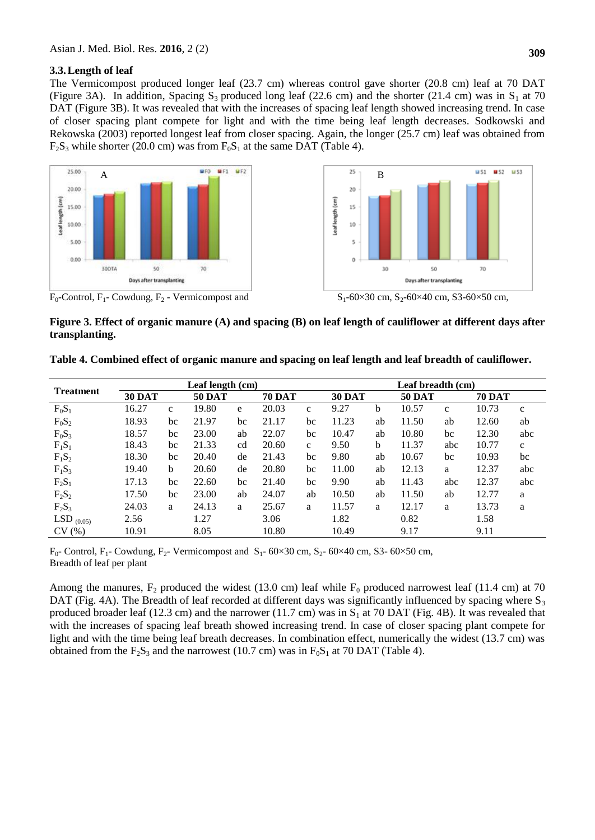#### **3.3.Length of leaf**

The Vermicompost produced longer leaf (23.7 cm) whereas control gave shorter (20.8 cm) leaf at 70 DAT (Figure 3A). In addition, Spacing  $S_3$  produced long leaf (22.6 cm) and the shorter (21.4 cm) was in  $S_1$  at 70 DAT (Figure 3B). It was revealed that with the increases of spacing leaf length showed increasing trend. In case of closer spacing plant compete for light and with the time being leaf length decreases. Sodkowski and Rekowska (2003) reported longest leaf from closer spacing. Again, the longer (25.7 cm) leaf was obtained from  $F<sub>2</sub>S<sub>3</sub>$  while shorter (20.0 cm) was from  $F<sub>0</sub>S<sub>1</sub>$  at the same DAT (Table 4).



**Figure 3. Effect of organic manure (A) and spacing (B) on leaf length of cauliflower at different days after transplanting.** 

|  | Table 4. Combined effect of organic manure and spacing on leaf length and leaf breadth of cauliflower. |  |  |  |  |
|--|--------------------------------------------------------------------------------------------------------|--|--|--|--|
|  |                                                                                                        |  |  |  |  |

|                  |               | Leaf length (cm) |       | Leaf breadth (cm) |       |               |       |               |       |               |       |              |
|------------------|---------------|------------------|-------|-------------------|-------|---------------|-------|---------------|-------|---------------|-------|--------------|
| <b>Treatment</b> | <b>30 DAT</b> |                  |       | <b>50 DAT</b>     |       | <b>70 DAT</b> |       | <b>30 DAT</b> |       | <b>50 DAT</b> |       |              |
| $F_0S_1$         | 16.27         | $\mathbf{C}$     | 19.80 | e                 | 20.03 | $\mathbf{C}$  | 9.27  | b             | 10.57 | $\mathbf{C}$  | 10.73 | $\mathbf{c}$ |
| $F_0S_2$         | 18.93         | bc               | 21.97 | bc                | 21.17 | bc            | 11.23 | ab            | 11.50 | ab            | 12.60 | ab           |
| $F_0S_3$         | 18.57         | bc               | 23.00 | ab                | 22.07 | bc            | 10.47 | ab            | 10.80 | bc            | 12.30 | abc          |
| $F_1S_1$         | 18.43         | bc               | 21.33 | cd                | 20.60 | $\mathbf{c}$  | 9.50  | h             | 11.37 | abc           | 10.77 | $\mathbf{C}$ |
| $F_1S_2$         | 18.30         | bc               | 20.40 | de                | 21.43 | bc            | 9.80  | ab            | 10.67 | bc            | 10.93 | bc           |
| $F_1S_3$         | 19.40         | b                | 20.60 | de                | 20.80 | bc            | 11.00 | ab            | 12.13 | a             | 12.37 | abc          |
| $F_2S_1$         | 17.13         | bc               | 22.60 | bc                | 21.40 | bc            | 9.90  | ab            | 11.43 | abc           | 12.37 | abc          |
| $F_2S_2$         | 17.50         | bc               | 23.00 | ab                | 24.07 | ab            | 10.50 | ab            | 11.50 | ab            | 12.77 | a            |
| $F_2S_3$         | 24.03         | a                | 24.13 | a                 | 25.67 | a             | 11.57 | a             | 12.17 | a             | 13.73 | a            |
| LSD $_{(0.05)}$  | 2.56          |                  | 1.27  |                   | 3.06  |               | 1.82  |               | 0.82  |               | 1.58  |              |
| CV(%)            | 10.91         |                  | 8.05  |                   | 10.80 |               | 10.49 |               | 9.17  |               | 9.11  |              |

 $F_0$ - Control, F<sub>1</sub>- Cowdung, F<sub>2</sub>- Vermicompost and S<sub>1</sub>- 60×30 cm, S<sub>2</sub>- 60×40 cm, S3- 60×50 cm, Breadth of leaf per plant

Among the manures,  $F_2$  produced the widest (13.0 cm) leaf while  $F_0$  produced narrowest leaf (11.4 cm) at 70 DAT (Fig. 4A). The Breadth of leaf recorded at different days was significantly influenced by spacing where  $S_3$ produced broader leaf (12.3 cm) and the narrower (11.7 cm) was in  $S_1$  at 70 DAT (Fig. 4B). It was revealed that with the increases of spacing leaf breath showed increasing trend. In case of closer spacing plant compete for light and with the time being leaf breath decreases. In combination effect, numerically the widest (13.7 cm) was obtained from the  $F_2S_3$  and the narrowest (10.7 cm) was in  $F_0S_1$  at 70 DAT (Table 4).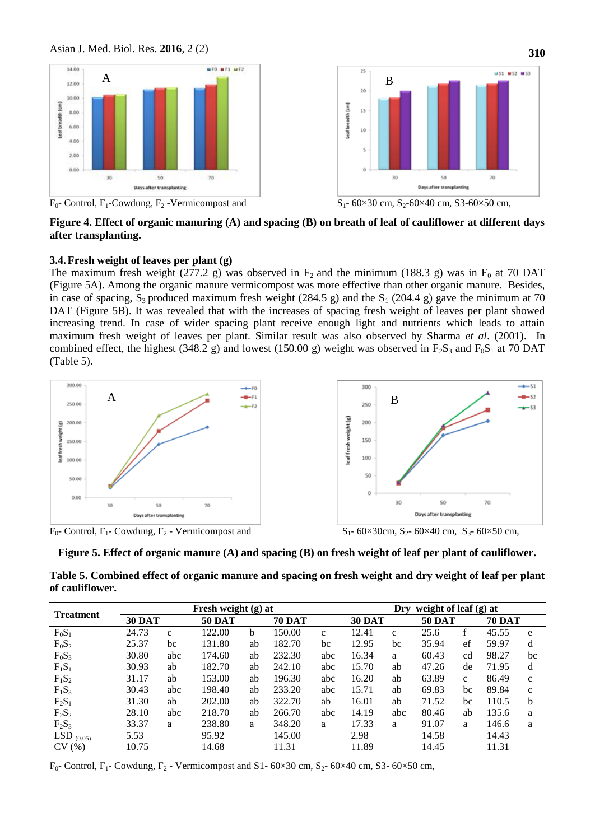

**Figure 4. Effect of organic manuring (A) and spacing (B) on breath of leaf of cauliflower at different days after transplanting.** 

#### **3.4.Fresh weight of leaves per plant (g)**

The maximum fresh weight (277.2 g) was observed in  $F_2$  and the minimum (188.3 g) was in  $F_0$  at 70 DAT (Figure 5A). Among the organic manure vermicompost was more effective than other organic manure. Besides, in case of spacing,  $S_3$  produced maximum fresh weight (284.5 g) and the  $S_1$  (204.4 g) gave the minimum at 70 DAT (Figure 5B). It was revealed that with the increases of spacing fresh weight of leaves per plant showed increasing trend. In case of wider spacing plant receive enough light and nutrients which leads to attain maximum fresh weight of leaves per plant. Similar result was also observed by Sharma *et al*. (2001). In combined effect, the highest (348.2 g) and lowest (150.00 g) weight was observed in  $F_2S_3$  and  $F_0S_1$  at 70 DAT (Table 5).



**Figure 5. Effect of organic manure (A) and spacing (B) on fresh weight of leaf per plant of cauliflower.**

| Table 5. Combined effect of organic manure and spacing on fresh weight and dry weight of leaf per plant |  |
|---------------------------------------------------------------------------------------------------------|--|
| of cauliflower.                                                                                         |  |

| <b>Treatment</b> |               |              | Fresh weight (g) at |    |               | Dry weight of leaf $(g)$ at |       |               |       |               |       |               |
|------------------|---------------|--------------|---------------------|----|---------------|-----------------------------|-------|---------------|-------|---------------|-------|---------------|
|                  | <b>30 DAT</b> |              | <b>50 DAT</b>       |    | <b>70 DAT</b> |                             |       | <b>30 DAT</b> |       | <b>50 DAT</b> |       | <b>70 DAT</b> |
| $F_0S_1$         | 24.73         | $\mathbf{c}$ | 122.00              | b  | 150.00        | $\mathbf{C}$                | 12.41 | $\mathbf{C}$  | 25.6  | f             | 45.55 | e             |
| $F_0S_2$         | 25.37         | bc           | 131.80              | ab | 182.70        | bc                          | 12.95 | bc            | 35.94 | ef            | 59.97 | d             |
| $F_0S_3$         | 30.80         | abc          | 174.60              | ab | 232.30        | abc                         | 16.34 | a             | 60.43 | cd            | 98.27 | bc            |
| $F_1S_1$         | 30.93         | ab           | 182.70              | ab | 242.10        | abc                         | 15.70 | ab            | 47.26 | de            | 71.95 | d             |
| $F_1S_2$         | 31.17         | ab           | 153.00              | ab | 196.30        | abc                         | 16.20 | ab            | 63.89 | $\mathbf{c}$  | 86.49 | $\mathbf{C}$  |
| $F_1S_3$         | 30.43         | abc          | 198.40              | ab | 233.20        | abc                         | 15.71 | ab            | 69.83 | bc            | 89.84 | $\mathbf{C}$  |
| $F_2S_1$         | 31.30         | ab           | 202.00              | ab | 322.70        | ab                          | 16.01 | ab            | 71.52 | bc            | 110.5 | b             |
| $F_2S_2$         | 28.10         | abc          | 218.70              | ab | 266.70        | abc                         | 14.19 | abc           | 80.46 | ab            | 135.6 | a             |
| $F_2S_3$         | 33.37         | a            | 238.80              | a  | 348.20        | a                           | 17.33 | a             | 91.07 | a             | 146.6 | a             |
| LSD $_{(0.05)}$  | 5.53          |              | 95.92               |    | 145.00        |                             | 2.98  |               | 14.58 |               | 14.43 |               |
| CV(%)            | 10.75         |              | 14.68               |    | 11.31         |                             | 11.89 |               | 14.45 |               | 11.31 |               |

 $F_0$ - Control,  $F_1$ - Cowdung,  $F_2$  - Vermicompost and S1- 60×30 cm, S<sub>2</sub>- 60×40 cm, S3- 60×50 cm,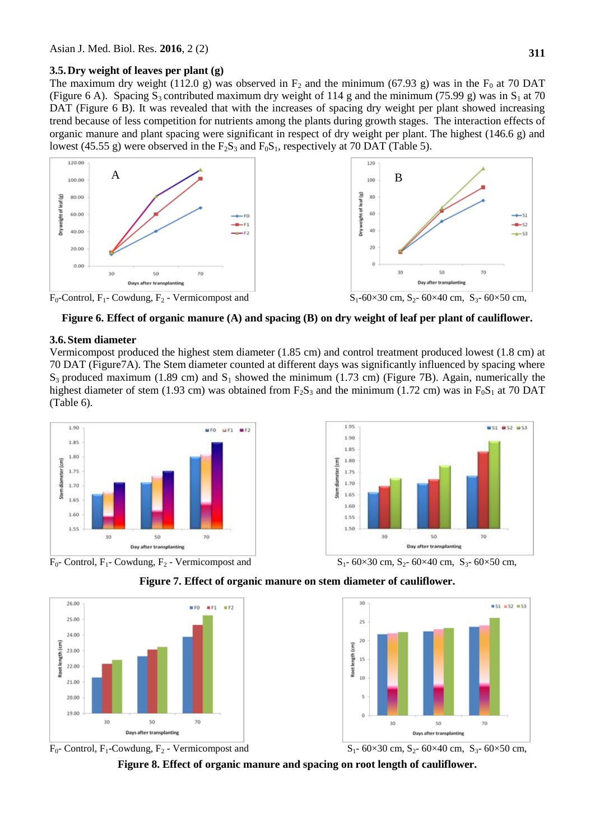### **3.5.Dry weight of leaves per plant (g)**

The maximum dry weight (112.0 g) was observed in  $F_2$  and the minimum (67.93 g) was in the  $F_0$  at 70 DAT (Figure 6 A). Spacing  $S_3$  contributed maximum dry weight of 114 g and the minimum (75.99 g) was in  $S_1$  at 70 DAT (Figure 6 B). It was revealed that with the increases of spacing dry weight per plant showed increasing trend because of less competition for nutrients among the plants during growth stages. The interaction effects of organic manure and plant spacing were significant in respect of dry weight per plant. The highest (146.6 g) and lowest (45.55 g) were observed in the  $F_2S_3$  and  $F_0S_1$ , respectively at 70 DAT (Table 5).



**Figure 6. Effect of organic manure (A) and spacing (B) on dry weight of leaf per plant of cauliflower.**

# **3.6.Stem diameter**

Vermicompost produced the highest stem diameter (1.85 cm) and control treatment produced lowest (1.8 cm) at 70 DAT (Figure7A). The Stem diameter counted at different days was significantly influenced by spacing where  $S_3$  produced maximum (1.89 cm) and  $S_1$  showed the minimum (1.73 cm) (Figure 7B). Again, numerically the highest diameter of stem (1.93 cm) was obtained from  $F_2S_3$  and the minimum (1.72 cm) was in  $F_0S_1$  at 70 DAT (Table 6).









# **Figure 7. Effect of organic manure on stem diameter of cauliflower.**



**Figure 8. Effect of organic manure and spacing on root length of cauliflower.**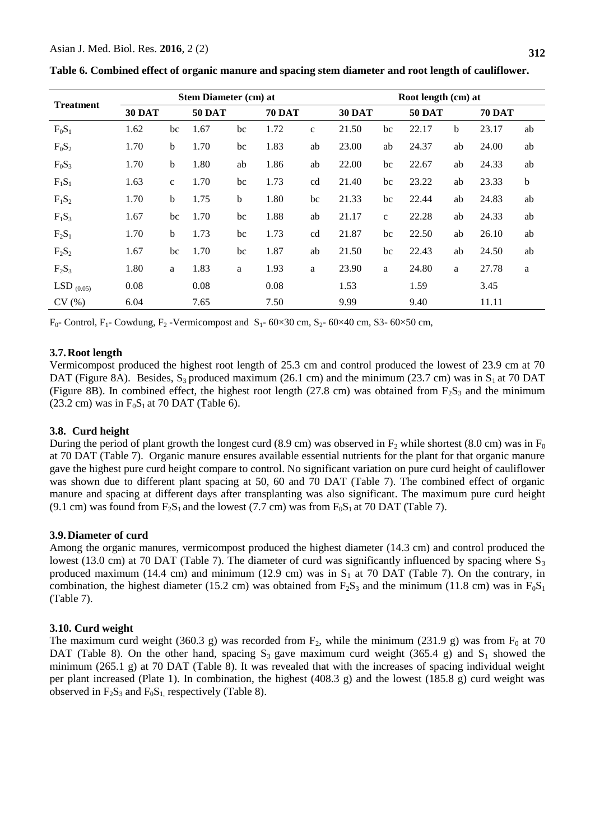|                  |        | Stem Diameter (cm) at |               |    |               |             |        |              | Root length (cm) at |    |               |             |  |  |
|------------------|--------|-----------------------|---------------|----|---------------|-------------|--------|--------------|---------------------|----|---------------|-------------|--|--|
| <b>Treatment</b> | 30 DAT |                       | <b>50 DAT</b> |    | <b>70 DAT</b> |             | 30 DAT |              | <b>50 DAT</b>       |    | <b>70 DAT</b> |             |  |  |
| $F_0S_1$         | 1.62   | bc                    | 1.67          | bc | 1.72          | $\mathbf c$ | 21.50  | bc           | 22.17               | b  | 23.17         | ab          |  |  |
| $F_0S_2$         | 1.70   | b                     | 1.70          | bc | 1.83          | ab          | 23.00  | ab           | 24.37               | ab | 24.00         | ab          |  |  |
| $F_0S_3$         | 1.70   | b                     | 1.80          | ab | 1.86          | ab          | 22.00  | bc           | 22.67               | ab | 24.33         | ab          |  |  |
| $F_1S_1$         | 1.63   | $\mathbf{C}$          | 1.70          | bc | 1.73          | cd          | 21.40  | bc           | 23.22               | ab | 23.33         | $\mathbf b$ |  |  |
| $F_1S_2$         | 1.70   | b                     | 1.75          | b  | 1.80          | bc          | 21.33  | bc           | 22.44               | ab | 24.83         | ab          |  |  |
| $F_1S_3$         | 1.67   | bc                    | 1.70          | bc | 1.88          | ab          | 21.17  | $\mathbf{C}$ | 22.28               | ab | 24.33         | ab          |  |  |
| $F_2S_1$         | 1.70   | b                     | 1.73          | bc | 1.73          | cd          | 21.87  | bc           | 22.50               | ab | 26.10         | ab          |  |  |
| $F_2S_2$         | 1.67   | bc                    | 1.70          | bc | 1.87          | ab          | 21.50  | bc           | 22.43               | ab | 24.50         | ab          |  |  |
| $F_2S_3$         | 1.80   | a                     | 1.83          | a  | 1.93          | a           | 23.90  | a            | 24.80               | a  | 27.78         | a           |  |  |
| LSD $_{(0.05)}$  | 0.08   |                       | 0.08          |    | 0.08          |             | 1.53   |              | 1.59                |    | 3.45          |             |  |  |
| CV(%)            | 6.04   |                       | 7.65          |    | 7.50          |             | 9.99   |              | 9.40                |    | 11.11         |             |  |  |

**Table 6. Combined effect of organic manure and spacing stem diameter and root length of cauliflower.**

 $F_0$ - Control, F<sub>1</sub>- Cowdung, F<sub>2</sub> -Vermicompost and S<sub>1</sub>- 60×30 cm, S<sub>2</sub>- 60×40 cm, S3- 60×50 cm,

### **3.7.Root length**

Vermicompost produced the highest root length of 25.3 cm and control produced the lowest of 23.9 cm at 70 DAT (Figure 8A). Besides,  $S_3$  produced maximum (26.1 cm) and the minimum (23.7 cm) was in  $S_1$  at 70 DAT (Figure 8B). In combined effect, the highest root length (27.8 cm) was obtained from  $F_2S_3$  and the minimum (23.2 cm) was in  $F_0S_1$  at 70 DAT (Table 6).

### **3.8. Curd height**

During the period of plant growth the longest curd (8.9 cm) was observed in  $F_2$  while shortest (8.0 cm) was in  $F_0$ at 70 DAT (Table 7). Organic manure ensures available essential nutrients for the plant for that organic manure gave the highest pure curd height compare to control. No significant variation on pure curd height of cauliflower was shown due to different plant spacing at 50, 60 and 70 DAT (Table 7). The combined effect of organic manure and spacing at different days after transplanting was also significant. The maximum pure curd height (9.1 cm) was found from  $F_2S_1$  and the lowest (7.7 cm) was from  $F_0S_1$  at 70 DAT (Table 7).

### **3.9.Diameter of curd**

Among the organic manures, vermicompost produced the highest diameter (14.3 cm) and control produced the lowest (13.0 cm) at 70 DAT (Table 7). The diameter of curd was significantly influenced by spacing where  $S_3$ produced maximum (14.4 cm) and minimum (12.9 cm) was in  $S_1$  at 70 DAT (Table 7). On the contrary, in combination, the highest diameter (15.2 cm) was obtained from  $F_2S_3$  and the minimum (11.8 cm) was in  $F_0S_1$ (Table 7).

### **3.10. Curd weight**

The maximum curd weight (360.3 g) was recorded from  $F_2$ , while the minimum (231.9 g) was from  $F_0$  at 70 DAT (Table 8). On the other hand, spacing  $S_3$  gave maximum curd weight (365.4 g) and  $S_1$  showed the minimum (265.1 g) at 70 DAT (Table 8). It was revealed that with the increases of spacing individual weight per plant increased (Plate 1). In combination, the highest (408.3 g) and the lowest (185.8 g) curd weight was observed in  $F_2S_3$  and  $F_0S_1$ , respectively (Table 8).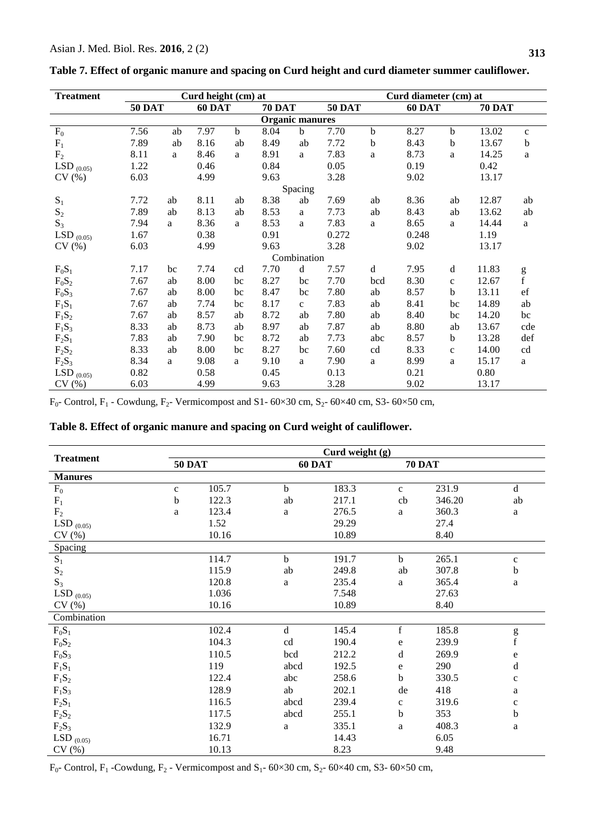| <b>Treatment</b> | Curd height (cm) at<br>Curd diameter (cm) at |    |        |             |                        |              |               |             |        |              |               |              |
|------------------|----------------------------------------------|----|--------|-------------|------------------------|--------------|---------------|-------------|--------|--------------|---------------|--------------|
|                  | <b>50 DAT</b>                                |    | 60 DAT |             | <b>70 DAT</b>          |              | <b>50 DAT</b> |             | 60 DAT |              | <b>70 DAT</b> |              |
|                  |                                              |    |        |             | <b>Organic manures</b> |              |               |             |        |              |               |              |
| $F_0$            | 7.56                                         | ab | 7.97   | $\mathbf b$ | 8.04                   | $\mathbf b$  | 7.70          | $\mathbf b$ | 8.27   | $\mathbf b$  | 13.02         | $\mathbf{C}$ |
| $F_1$            | 7.89                                         | ab | 8.16   | ab          | 8.49                   | ab           | 7.72          | b           | 8.43   | $\mathbf b$  | 13.67         | $\mathbf b$  |
| F <sub>2</sub>   | 8.11                                         | a  | 8.46   | a           | 8.91                   | a            | 7.83          | a           | 8.73   | a            | 14.25         | $\mathbf{a}$ |
| LSD $_{(0.05)}$  | 1.22                                         |    | 0.46   |             | 0.84                   |              | 0.05          |             | 0.19   |              | 0.42          |              |
| CV(%)            | 6.03                                         |    | 4.99   |             | 9.63                   |              | 3.28          |             | 9.02   |              | 13.17         |              |
|                  |                                              |    |        |             |                        | Spacing      |               |             |        |              |               |              |
| $S_1$            | 7.72                                         | ab | 8.11   | ab          | 8.38                   | ab           | 7.69          | ab          | 8.36   | ab           | 12.87         | ab           |
| $S_2$            | 7.89                                         | ab | 8.13   | ab          | 8.53                   | a            | 7.73          | ab          | 8.43   | ab           | 13.62         | ab           |
| $S_3$            | 7.94                                         | a  | 8.36   | a           | 8.53                   | a            | 7.83          | a           | 8.65   | a            | 14.44         | a            |
| LSD $_{(0.05)}$  | 1.67                                         |    | 0.38   |             | 0.91                   |              | 0.272         |             | 0.248  |              | 1.19          |              |
| CV(%)            | 6.03                                         |    | 4.99   |             | 9.63                   |              | 3.28          |             | 9.02   |              | 13.17         |              |
|                  |                                              |    |        |             |                        | Combination  |               |             |        |              |               |              |
| $F_0S_1$         | 7.17                                         | bc | 7.74   | cd          | 7.70                   | d            | 7.57          | d           | 7.95   | d            | 11.83         |              |
| $F_0S_2$         | 7.67                                         | ab | 8.00   | bc          | 8.27                   | bc           | 7.70          | bcd         | 8.30   | $\mathbf{C}$ | 12.67         | g<br>f       |
| $F_0S_3$         | 7.67                                         | ab | 8.00   | bc          | 8.47                   | bc           | 7.80          | ab          | 8.57   | $\mathbf b$  | 13.11         | $_{\rm ef}$  |
| $F_1S_1$         | 7.67                                         | ab | 7.74   | bc          | 8.17                   | $\mathbf{c}$ | 7.83          | ab          | 8.41   | bc           | 14.89         | ab           |
| $F_1S_2$         | 7.67                                         | ab | 8.57   | ab          | 8.72                   | ab           | 7.80          | ab          | 8.40   | bc           | 14.20         | bc           |
| $F_1S_3$         | 8.33                                         | ab | 8.73   | ab          | 8.97                   | ab           | 7.87          | ab          | 8.80   | ab           | 13.67         | cde          |
| $F_2S_1$         | 7.83                                         | ab | 7.90   | bc          | 8.72                   | ab           | 7.73          | abc         | 8.57   | $\mathbf b$  | 13.28         | def          |
| $F_2S_2$         | 8.33                                         | ab | 8.00   | bc          | 8.27                   | bc           | 7.60          | cd          | 8.33   | $\mathbf c$  | 14.00         | cd           |
| $F_2S_3$         | 8.34                                         | a  | 9.08   | a           | 9.10                   | a            | 7.90          | a           | 8.99   | $\mathbf{a}$ | 15.17         | a            |
| LSD $_{(0.05)}$  | 0.82                                         |    | 0.58   |             | 0.45                   |              | 0.13          |             | 0.21   |              | 0.80          |              |
| CV(%)            | 6.03                                         |    | 4.99   |             | 9.63                   |              | 3.28          |             | 9.02   |              | 13.17         |              |

| Table 7. Effect of organic manure and spacing on Curd height and curd diameter summer cauliflower. |  |  |  |
|----------------------------------------------------------------------------------------------------|--|--|--|
|----------------------------------------------------------------------------------------------------|--|--|--|

 $F_0$ - Control,  $F_1$  - Cowdung,  $F_2$ - Vermicompost and S1- 60×30 cm, S<sub>2</sub>- 60×40 cm, S3- 60×50 cm,

| Table 8. Effect of organic manure and spacing on Curd weight of cauliflower. |  |
|------------------------------------------------------------------------------|--|
|                                                                              |  |

|                  | Curd weight (g) |       |             |       |               |        |              |
|------------------|-----------------|-------|-------------|-------|---------------|--------|--------------|
| <b>Treatment</b> | <b>50 DAT</b>   |       | 60 DAT      |       | <b>70 DAT</b> |        |              |
| <b>Manures</b>   |                 |       |             |       |               |        |              |
| $F_0$            | $\mathbf{C}$    | 105.7 | $\mathbf b$ | 183.3 | $\mathbf{c}$  | 231.9  | $\mathbf d$  |
| $F_1$            | $\mathbf b$     | 122.3 | ab          | 217.1 | cb            | 346.20 | ab           |
| $\rm F_2$        | a               | 123.4 | a           | 276.5 | a             | 360.3  | a            |
| LSD $_{(0.05)}$  |                 | 1.52  |             | 29.29 |               | 27.4   |              |
| CV(%)            |                 | 10.16 |             | 10.89 |               | 8.40   |              |
| Spacing          |                 |       |             |       |               |        |              |
| $\mathbf{S}_1$   |                 | 114.7 | $\mathbf b$ | 191.7 | $\mathbf b$   | 265.1  | $\mathbf c$  |
| $\mathbf{S}_2$   |                 | 115.9 | ab          | 249.8 | ab            | 307.8  | $\mathbf b$  |
| $S_3$            |                 | 120.8 | a           | 235.4 | a             | 365.4  | $\mathbf{a}$ |
| LSD $_{(0.05)}$  |                 | 1.036 |             | 7.548 |               | 27.63  |              |
| CV(%)            |                 | 10.16 |             | 10.89 |               | 8.40   |              |
| Combination      |                 |       |             |       |               |        |              |
| $F_0S_1$         |                 | 102.4 | $\mathbf d$ | 145.4 | $\mathbf f$   | 185.8  |              |
| $F_0S_2$         |                 | 104.3 | cd          | 190.4 | ${\bf e}$     | 239.9  | $g_f$        |
| $F_0S_3$         |                 | 110.5 | bcd         | 212.2 | d             | 269.9  | ${\rm e}$    |
| $F_1S_1$         |                 | 119   | abcd        | 192.5 | e             | 290    | $\rm d$      |
| $F_1S_2$         |                 | 122.4 | abc         | 258.6 | $\mathbf b$   | 330.5  | $\mathbf{C}$ |
| $F_1S_3$         |                 | 128.9 | ab          | 202.1 | de            | 418    | $\rm{a}$     |
| $F_2S_1$         |                 | 116.5 | abcd        | 239.4 | $\mathbf c$   | 319.6  | $\mathbf{C}$ |
| $F_2S_2$         |                 | 117.5 | abcd        | 255.1 | b             | 353    | $\mathbf b$  |
| $F_2S_3$         |                 | 132.9 | a           | 335.1 | a             | 408.3  | $\rm{a}$     |
| LSD $_{(0.05)}$  |                 | 16.71 |             | 14.43 |               | 6.05   |              |
| CV(%)            |                 | 10.13 |             | 8.23  |               | 9.48   |              |

 $F_0$ - Control,  $F_1$ -Cowdung,  $F_2$ - Vermicompost and  $S_1$ - 60×30 cm,  $S_2$ - 60×40 cm, S3- 60×50 cm,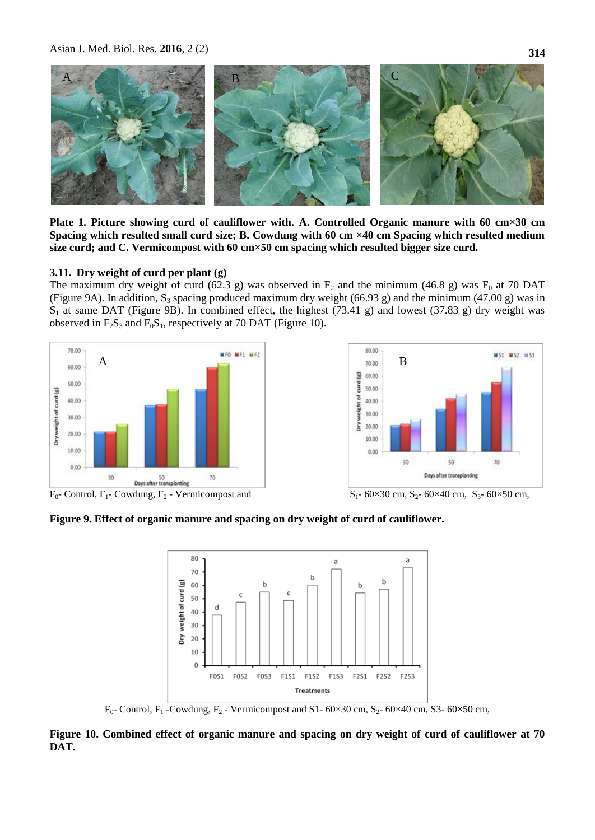

**Plate 1. Picture showing curd of cauliflower with. A. Controlled Organic manure with 60 cm×30 cm Spacing which resulted small curd size; B. Cowdung with 60 cm ×40 cm Spacing which resulted medium size curd; and C. Vermicompost with 60 cm×50 cm spacing which resulted bigger size curd.**

#### **3.11. Dry weight of curd per plant (g)**

The maximum dry weight of curd (62.3 g) was observed in  $F_2$  and the minimum (46.8 g) was  $F_0$  at 70 DAT (Figure 9A). In addition,  $S_3$  spacing produced maximum dry weight (66.93 g) and the minimum (47.00 g) was in  $S_1$  at same DAT (Figure 9B). In combined effect, the highest (73.41 g) and lowest (37.83 g) dry weight was observed in  $F_2S_3$  and  $F_0S_1$ , respectively at 70 DAT (Figure 10).





 $F_0$ - Control,  $F_1$ - Cowdung,  $F_2$ - Vermicompost and  $S_1$ - 60×30 cm,  $S_2$ - 60×40 cm,  $S_3$ - 60×50 cm,

**Figure 9. Effect of organic manure and spacing on dry weight of curd of cauliflower.**



 $F_0$ - Control,  $F_1$ -Cowdung,  $F_2$ - Vermicompost and S1- 60×30 cm, S<sub>2</sub>- 60×40 cm, S3- 60×50 cm,

**Figure 10. Combined effect of organic manure and spacing on dry weight of curd of cauliflower at 70 DAT.**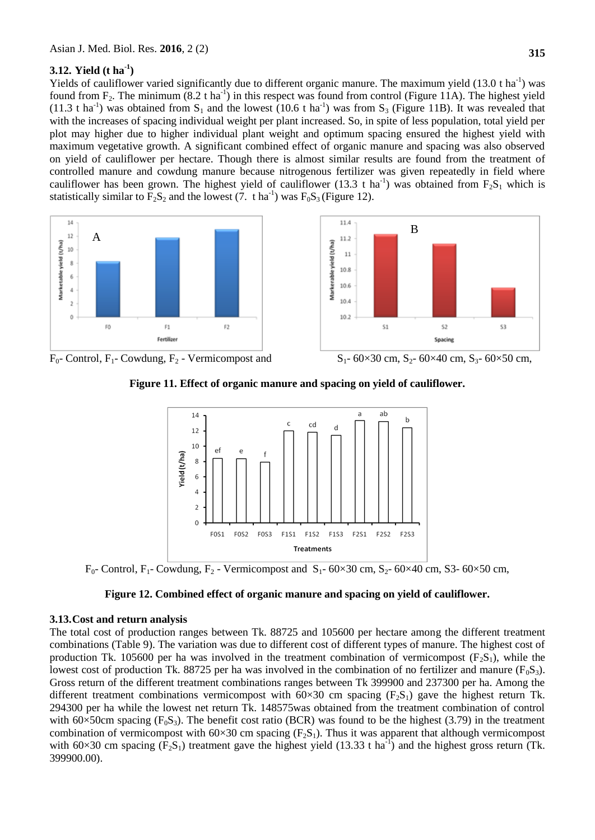# **3.12. Yield (t ha-1 )**

Yields of cauliflower varied significantly due to different organic manure. The maximum yield  $(13.0 \text{ t ha}^{-1})$  was found from  $F_2$ . The minimum (8.2 t ha<sup>-1</sup>) in this respect was found from control (Figure 11A). The highest yield (11.3 t ha<sup>-1</sup>) was obtained from S<sub>1</sub> and the lowest (10.6 t ha<sup>-1</sup>) was from S<sub>3</sub> (Figure 11B). It was revealed that with the increases of spacing individual weight per plant increased. So, in spite of less population, total yield per plot may higher due to higher individual plant weight and optimum spacing ensured the highest yield with maximum vegetative growth. A significant combined effect of organic manure and spacing was also observed on yield of cauliflower per hectare. Though there is almost similar results are found from the treatment of controlled manure and cowdung manure because nitrogenous fertilizer was given repeatedly in field where cauliflower has been grown. The highest yield of cauliflower (13.3 t ha<sup>-1</sup>) was obtained from  $F_2S_1$  which is statistically similar to  $F_2S_2$  and the lowest (7. t ha<sup>-1</sup>) was  $F_0S_3$  (Figure 12).





 $F_0$ - Control,  $F_1$ - Cowdung,  $F_2$  - Vermicompost and  $S_1$ - 60×30 cm,  $S_2$ - 60×40 cm,  $S_3$ - 60×50 cm,





 $F_0$ - Control,  $F_1$ - Cowdung,  $F_2$  - Vermicompost and  $S_1$ - 60×30 cm,  $S_2$ - 60×40 cm, S3- 60×50 cm,

# **Figure 12. Combined effect of organic manure and spacing on yield of cauliflower.**

### **3.13.Cost and return analysis**

The total cost of production ranges between Tk. 88725 and 105600 per hectare among the different treatment combinations (Table 9). The variation was due to different cost of different types of manure. The highest cost of production Tk. 105600 per ha was involved in the treatment combination of vermicompost  $(F_2S_1)$ , while the lowest cost of production Tk. 88725 per ha was involved in the combination of no fertilizer and manure ( $F_0S_3$ ). Gross return of the different treatment combinations ranges between Tk 399900 and 237300 per ha. Among the different treatment combinations vermicompost with  $60\times30$  cm spacing (F<sub>2</sub>S<sub>1</sub>) gave the highest return Tk. 294300 per ha while the lowest net return Tk. 148575was obtained from the treatment combination of control with 60×50cm spacing ( $F_0S_3$ ). The benefit cost ratio (BCR) was found to be the highest (3.79) in the treatment combination of vermicompost with  $60\times30$  cm spacing (F<sub>2</sub>S<sub>1</sub>). Thus it was apparent that although vermicompost with 60×30 cm spacing  $(\hat{F}_2S_1)$  treatment gave the highest yield (13.33 t ha<sup>-1</sup>) and the highest gross return (Tk. 399900.00).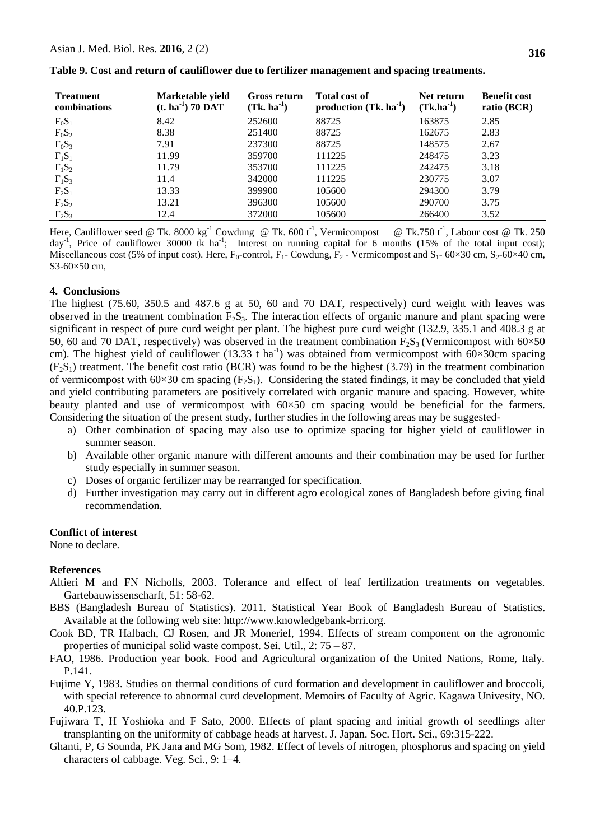| <b>Treatment</b><br>combinations | Marketable yield<br>$(t. ha-1)$ 70 DAT | Gross return<br>$(Tk, ha^{-1})$ | <b>Total cost of</b><br>production $(Tk, ha^{-1})$ | Net return<br>$(Tk.ha^{-1})$ | <b>Benefit cost</b><br>ratio (BCR) |
|----------------------------------|----------------------------------------|---------------------------------|----------------------------------------------------|------------------------------|------------------------------------|
| $F_0S_1$                         | 8.42                                   | 252600                          | 88725                                              | 163875                       | 2.85                               |
| $F_0S_2$                         | 8.38                                   | 251400                          | 88725                                              | 162675                       | 2.83                               |
| $F_0S_3$                         | 7.91                                   | 237300                          | 88725                                              | 148575                       | 2.67                               |
| $F_1S_1$                         | 11.99                                  | 359700                          | 111225                                             | 248475                       | 3.23                               |
| $F_1S_2$                         | 11.79                                  | 353700                          | 111225                                             | 242475                       | 3.18                               |
| $F_1S_3$                         | 11.4                                   | 342000                          | 111225                                             | 230775                       | 3.07                               |
| $F_2S_1$                         | 13.33                                  | 399900                          | 105600                                             | 294300                       | 3.79                               |
| $F_2S_2$                         | 13.21                                  | 396300                          | 105600                                             | 290700                       | 3.75                               |
| $F_2S_3$                         | 12.4                                   | 372000                          | 105600                                             | 266400                       | 3.52                               |

**Table 9. Cost and return of cauliflower due to fertilizer management and spacing treatments.**

Here, Cauliflower seed @ Tk. 8000 kg<sup>-1</sup> Cowdung @ Tk. 600 t<sup>-1</sup>, Vermicompost @ Tk.750 t<sup>-1</sup>, Labour cost @ Tk. 250 day<sup>-1</sup>, Price of cauliflower 30000 tk ha<sup>-1</sup>; Interest on running capital for 6 months (15% of the total input cost); Miscellaneous cost (5% of input cost). Here,  $F_0$ -control,  $F_1$ - Cowdung,  $F_2$ - Vermicompost and  $S_1$ - 60×30 cm,  $S_2$ -60×40 cm, S3-60×50 cm,

#### **4. Conclusions**

The highest (75.60, 350.5 and 487.6 g at 50, 60 and 70 DAT, respectively) curd weight with leaves was observed in the treatment combination  $F_2S_3$ . The interaction effects of organic manure and plant spacing were significant in respect of pure curd weight per plant. The highest pure curd weight (132.9, 335.1 and 408.3 g at 50, 60 and 70 DAT, respectively) was observed in the treatment combination  $F_2S_3$  (Vermicompost with 60×50 cm). The highest yield of cauliflower (13.33 t ha<sup>-1</sup>) was obtained from vermicompost with  $60 \times 30$ cm spacing  $(F<sub>2</sub>S<sub>1</sub>)$  treatment. The benefit cost ratio (BCR) was found to be the highest (3.79) in the treatment combination of vermicompost with  $60\times30$  cm spacing (F<sub>2</sub>S<sub>1</sub>). Considering the stated findings, it may be concluded that yield and yield contributing parameters are positively correlated with organic manure and spacing. However, white beauty planted and use of vermicompost with  $60\times50$  cm spacing would be beneficial for the farmers. Considering the situation of the present study, further studies in the following areas may be suggested-

- a) Other combination of spacing may also use to optimize spacing for higher yield of cauliflower in summer season.
- b) Available other organic manure with different amounts and their combination may be used for further study especially in summer season.
- c) Doses of organic fertilizer may be rearranged for specification.
- d) Further investigation may carry out in different agro ecological zones of Bangladesh before giving final recommendation.

#### **Conflict of interest**

None to declare.

#### **References**

- Altieri M and FN Nicholls, 2003. Tolerance and effect of leaf fertilization treatments on vegetables. Gartebauwissenscharft, 51: 58-62.
- BBS (Bangladesh Bureau of Statistics). 2011. Statistical Year Book of Bangladesh Bureau of Statistics. Available at the following web site: http://www.knowledgebank-brri.org.
- Cook BD, TR Halbach, CJ Rosen, and JR Monerief, 1994. Effects of stream component on the agronomic properties of municipal solid waste compost. Sei. Util., 2: 75 – 87.
- FAO, 1986. Production year book. Food and Agricultural organization of the United Nations, Rome, Italy. P.141.
- Fujime Y, 1983. Studies on thermal conditions of curd formation and development in cauliflower and broccoli, with special reference to abnormal curd development. Memoirs of Faculty of Agric. Kagawa Univesity, NO. 40.P.123.
- Fujiwara T, H Yoshioka and F Sato, 2000. Effects of plant spacing and initial growth of seedlings after transplanting on the uniformity of cabbage heads at harvest. J. Japan. Soc. Hort. Sci., 69:315-222.
- Ghanti, P, G Sounda, PK Jana and MG Som, 1982. Effect of levels of nitrogen, phosphorus and spacing on yield characters of cabbage. Veg. Sci., 9: 1–4.